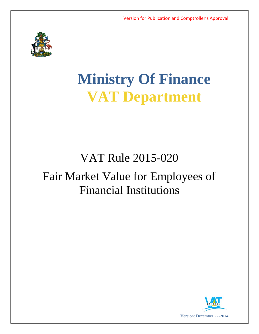

# **Ministry Of Finance VAT Department**

# VAT Rule 2015-020

# Fair Market Value for Employees of Financial Institutions

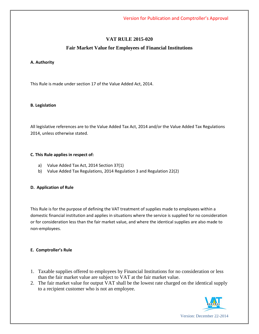## **VAT RULE 2015-020**

### **Fair Market Value for Employees of Financial Institutions**

#### **A. Authority**

This Rule is made under section 17 of the Value Added Act, 2014.

#### **B. Legislation**

All legislative references are to the Value Added Tax Act, 2014 and/or the Value Added Tax Regulations 2014, unless otherwise stated.

#### **C. This Rule applies in respect of:**

- a) Value Added Tax Act, 2014 Section 37(1)
- b) Value Added Tax Regulations, 2014 Regulation 3 and Regulation 22(2)

#### **D. Application of Rule**

This Rule is for the purpose of defining the VAT treatment of supplies made to employees within a domestic financial institution and applies in situations where the service is supplied for no consideration or for consideration less than the fair market value, and where the identical supplies are also made to non-employees.

#### **E. Comptroller's Rule**

- 1. Taxable supplies offered to employees by Financial Institutions for no consideration or less than the fair market value are subject to VAT at the fair market value.
- 2. The fair market value for output VAT shall be the lowest rate charged on the identical supply to a recipient customer who is not an employee.